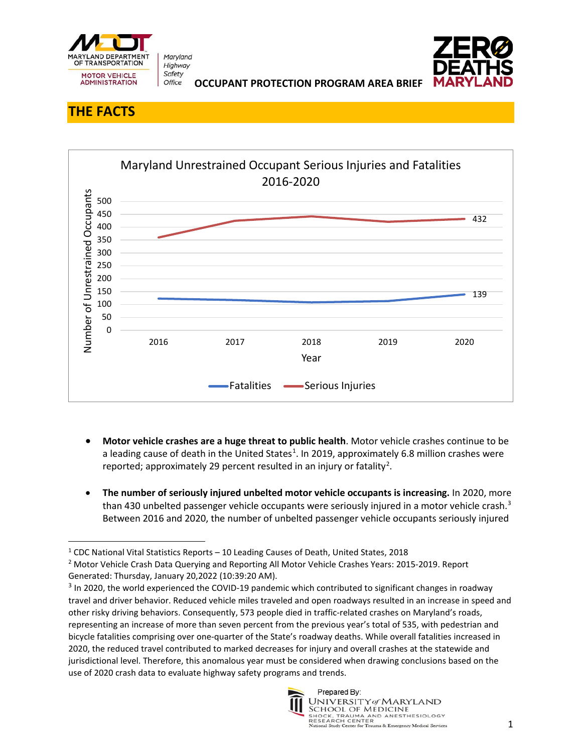

Maryland Highway Safety Office



**OCCUPANT PROTECTION PROGRAM AREA BRIEF** 

## **THE FACTS**



- **Motor vehicle crashes are a huge threat to public health**. Motor vehicle crashes continue to be a leading cause of death in the United States<sup>[1](#page-0-0)</sup>. In 2019, approximately 6.8 million crashes were reported; approximately [2](#page-0-1)9 percent resulted in an injury or fatality<sup>2</sup>.
- **The number of seriously injured unbelted motor vehicle occupants is increasing.** In 2020, more than 430 unbelted passenger vehicle occupants were seriously injured in a motor vehicle crash.<sup>3</sup> Between 2016 and 2020, the number of unbelted passenger vehicle occupants seriously injured

<span id="page-0-2"></span><sup>&</sup>lt;sup>3</sup> In 2020, the world experienced the COVID-19 pandemic which contributed to significant changes in roadway travel and driver behavior. Reduced vehicle miles traveled and open roadways resulted in an increase in speed and other risky driving behaviors. Consequently, 573 people died in traffic-related crashes on Maryland's roads, representing an increase of more than seven percent from the previous year's total of 535, with pedestrian and bicycle fatalities comprising over one-quarter of the State's roadway deaths. While overall fatalities increased in 2020, the reduced travel contributed to marked decreases for injury and overall crashes at the statewide and jurisdictional level. Therefore, this anomalous year must be considered when drawing conclusions based on the use of 2020 crash data to evaluate highway safety programs and trends.



<span id="page-0-0"></span><sup>&</sup>lt;sup>1</sup> CDC National Vital Statistics Reports  $-10$  Leading Causes of Death, United States, 2018

<span id="page-0-1"></span><sup>&</sup>lt;sup>2</sup> Motor Vehicle Crash Data Querying and Reporting All Motor Vehicle Crashes Years: 2015-2019. Report Generated: Thursday, January 20,2022 (10:39:20 AM).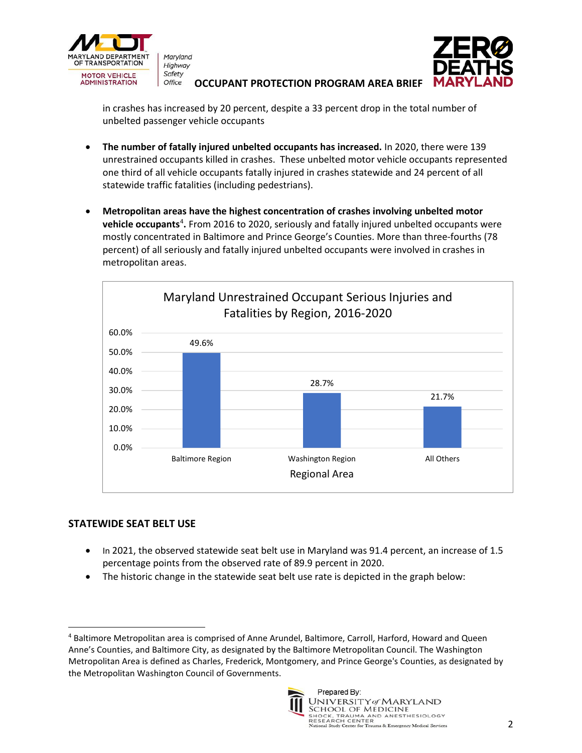

Maryland Highway Safety

## **OCCUPANT PROTECTION PROGRAM AREA BRIEF**

in crashes has increased by 20 percent, despite a 33 percent drop in the total number of unbelted passenger vehicle occupants

- **The number of fatally injured unbelted occupants has increased.** In 2020, there were 139 unrestrained occupants killed in crashes. These unbelted motor vehicle occupants represented one third of all vehicle occupants fatally injured in crashes statewide and 24 percent of all statewide traffic fatalities (including pedestrians).
- **Metropolitan areas have the highest concentration of crashes involving unbelted motor vehicle occupants<sup>[4](#page-1-0)</sup>.** From 2016 to 2020, seriously and fatally injured unbelted occupants were mostly concentrated in Baltimore and Prince George's Counties. More than three-fourths (78 percent) of all seriously and fatally injured unbelted occupants were involved in crashes in metropolitan areas.



## **STATEWIDE SEAT BELT USE**

- In 2021, the observed statewide seat belt use in Maryland was 91.4 percent, an increase of 1.5 percentage points from the observed rate of 89.9 percent in 2020.
- The historic change in the statewide seat belt use rate is depicted in the graph below:

<span id="page-1-0"></span><sup>4</sup> Baltimore Metropolitan area is comprised of Anne Arundel, Baltimore, Carroll, Harford, Howard and Queen Anne's Counties, and Baltimore City, as designated by the Baltimore Metropolitan Council. The Washington Metropolitan Area is defined as Charles, Frederick, Montgomery, and Prince George's Counties, as designated by the Metropolitan Washington Council of Governments.